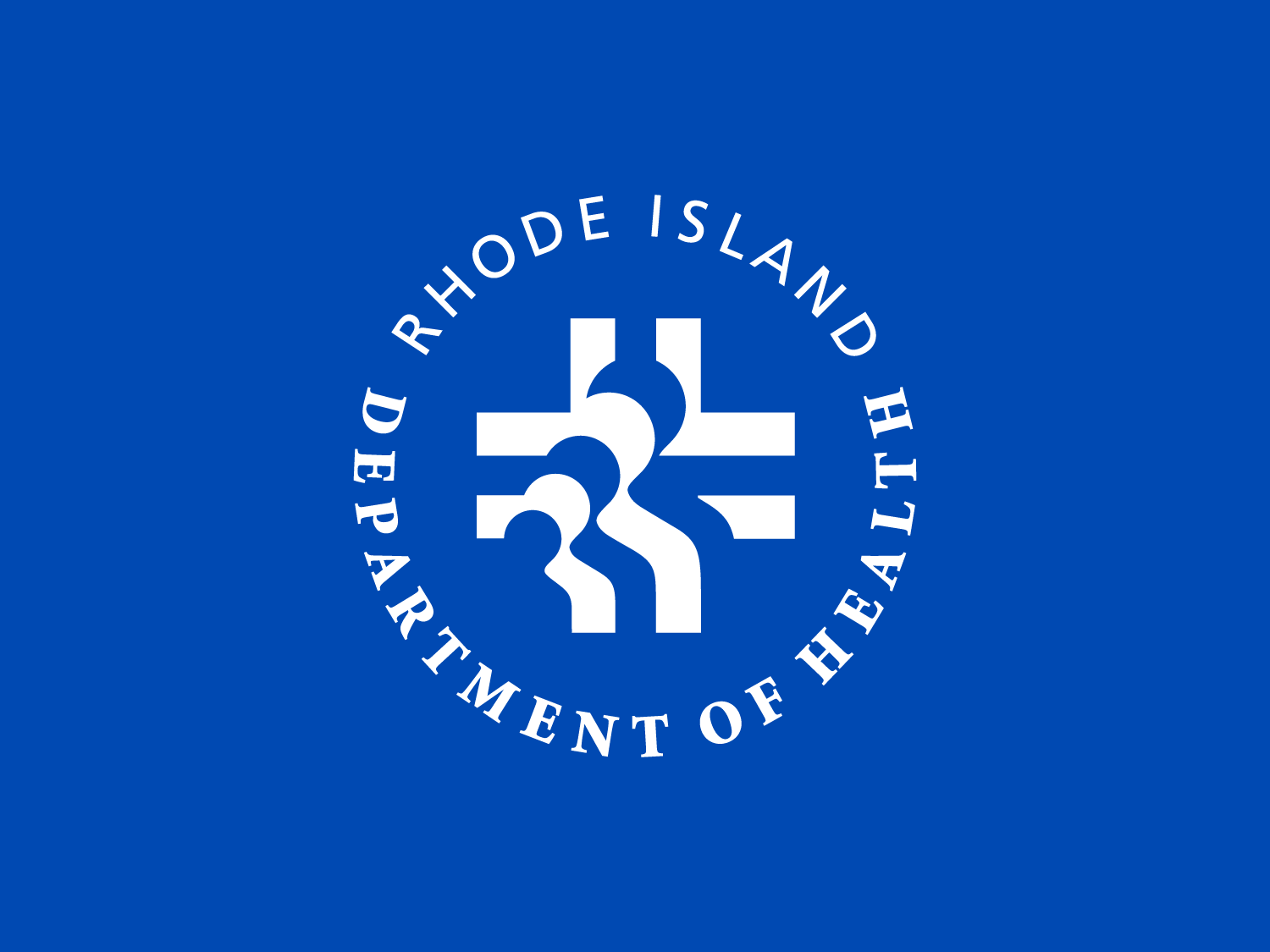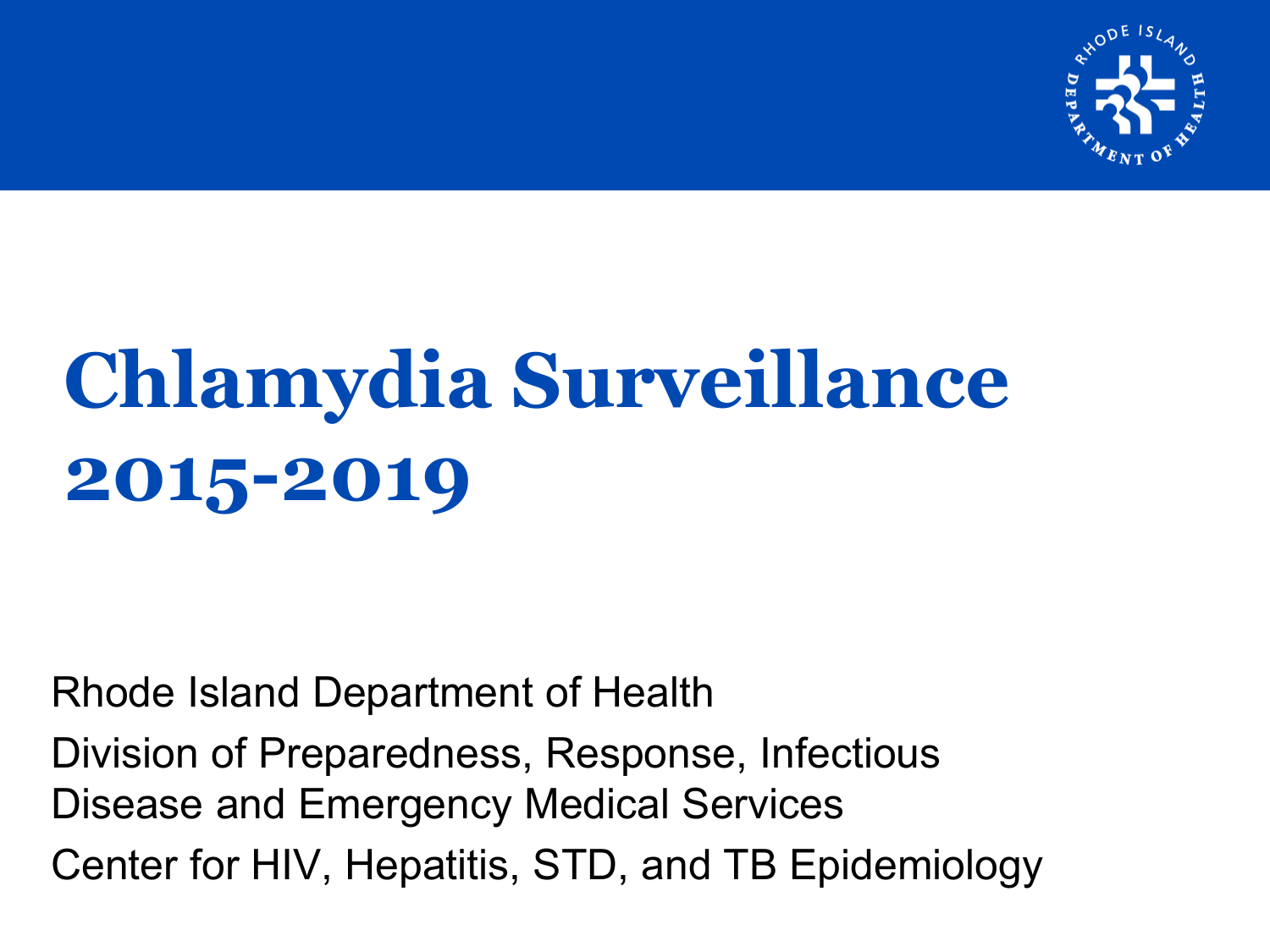

# **Chlamydia Surveillance 2015-2019**

Rhode Island Department of Health

Division of Preparedness, Response, Infectious Disease and Emergency Medical Services Center for HIV, Hepatitis, STD, and TB Epidemiology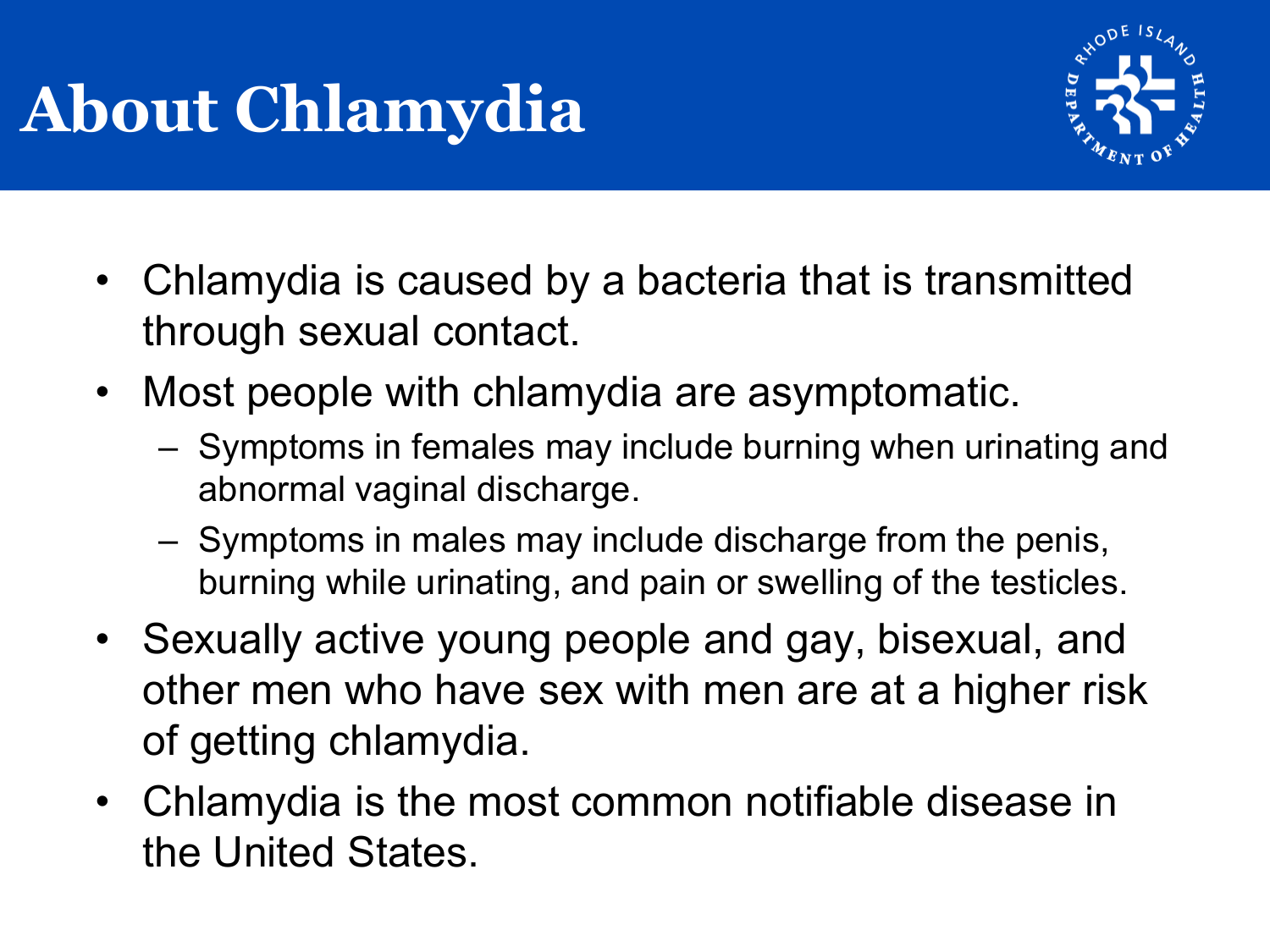## **About Chlamydia**



- Chlamydia is caused by a bacteria that is transmitted through sexual contact.
- Most people with chlamydia are asymptomatic.
	- Symptoms in females may include burning when urinating and abnormal vaginal discharge.
	- Symptoms in males may include discharge from the penis, burning while urinating, and pain or swelling of the testicles.
- Sexually active young people and gay, bisexual, and other men who have sex with men are at a higher risk of getting chlamydia.
- Chlamydia is the most common notifiable disease in the United States.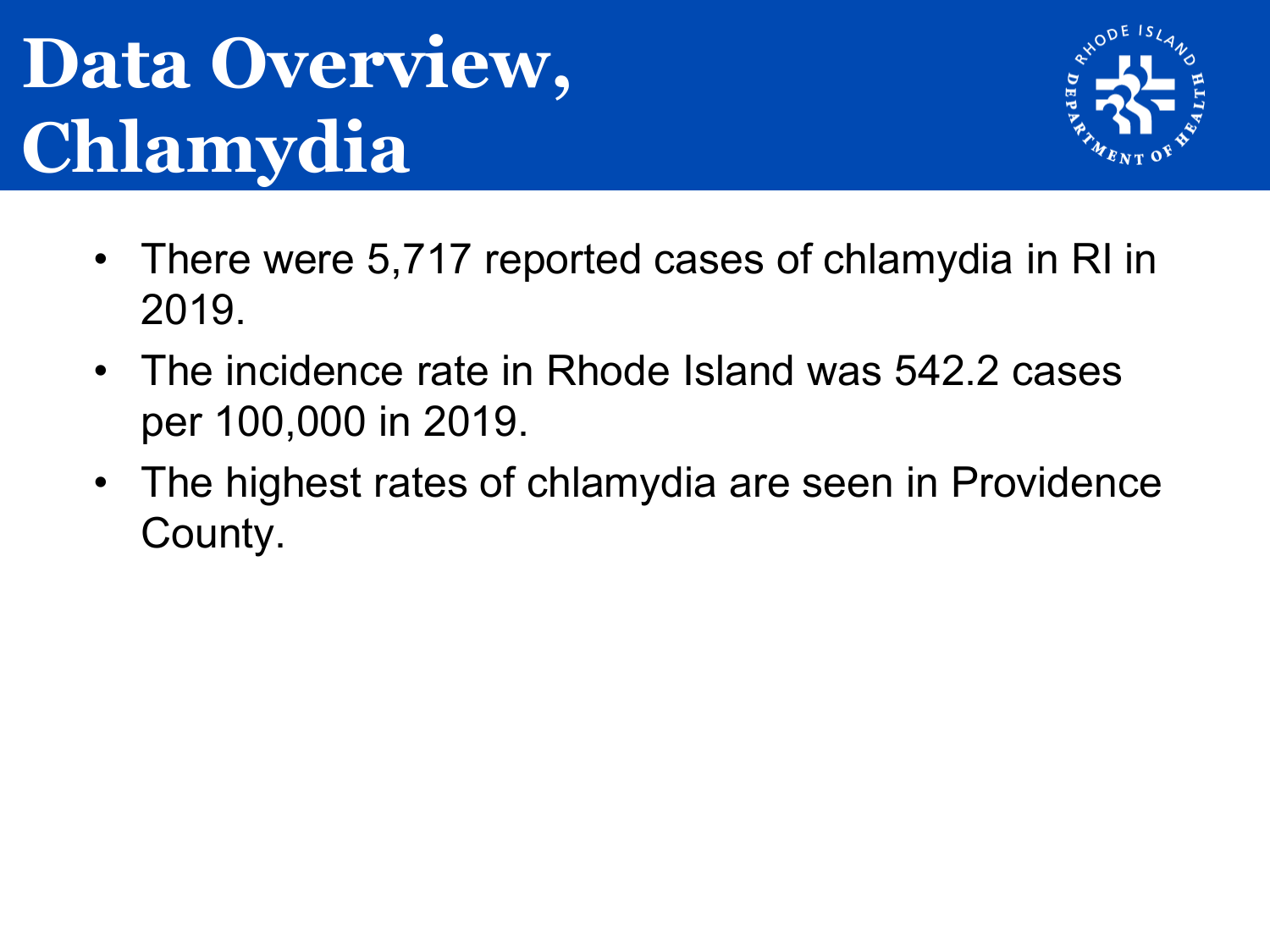## **Data Overview, Chlamydia**



- There were 5,717 reported cases of chlamydia in RI in 2019.
- The incidence rate in Rhode Island was 542.2 cases per 100,000 in 2019.
- The highest rates of chlamydia are seen in Providence County.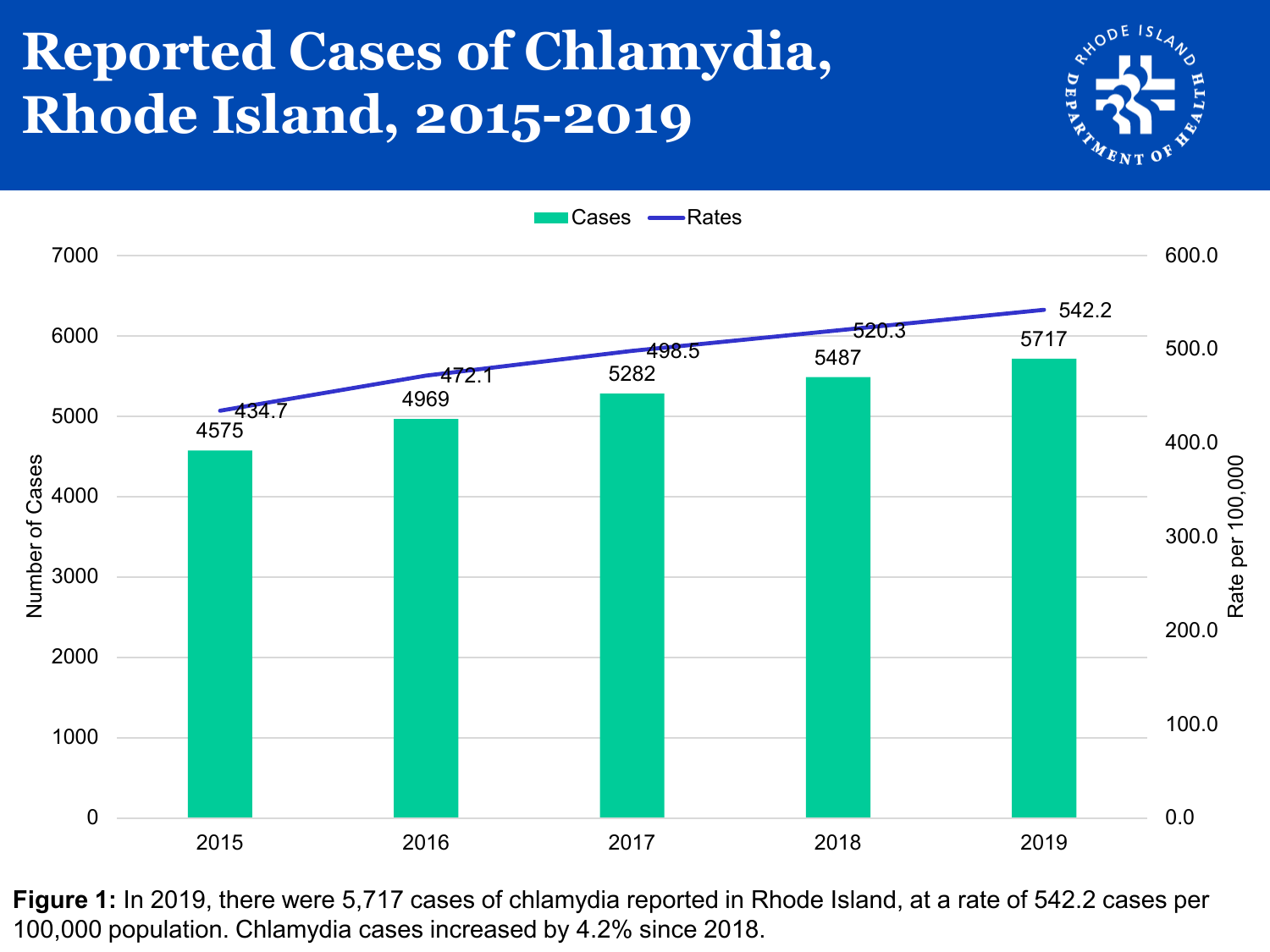## **Reported Cases of Chlamydia, Rhode Island, 2015-2019**





**Figure 1:** In 2019, there were 5,717 cases of chlamydia reported in Rhode Island, at a rate of 542.2 cases per 100,000 population. Chlamydia cases increased by 4.2% since 2018.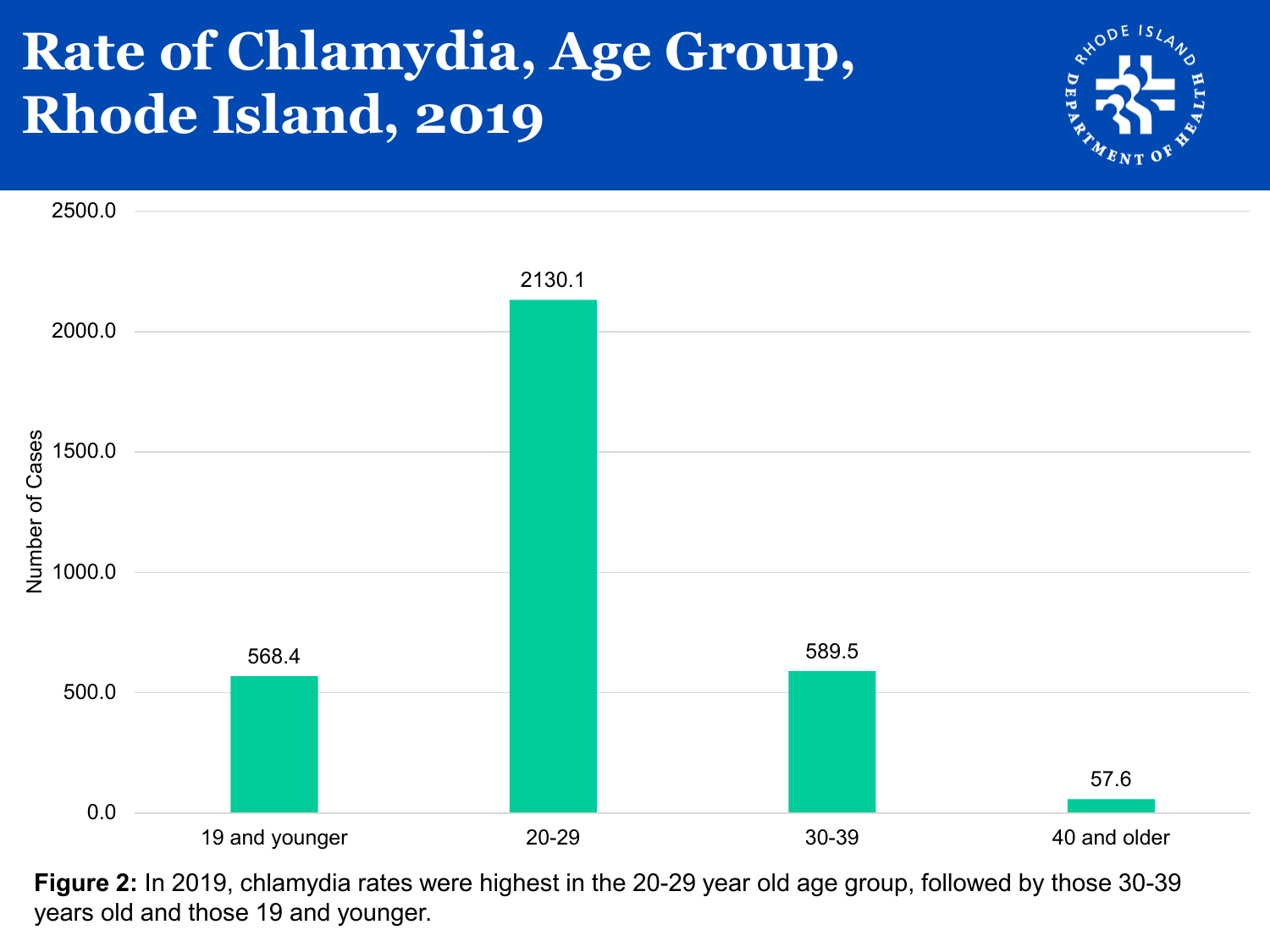### **Rate of Chlamydia, Age Group, Rhode Island, 2019**





**Figure 2:** In 2019, chlamydia rates were highest in the 20-29 year old age group, followed by those 30-39 years old and those 19 and younger.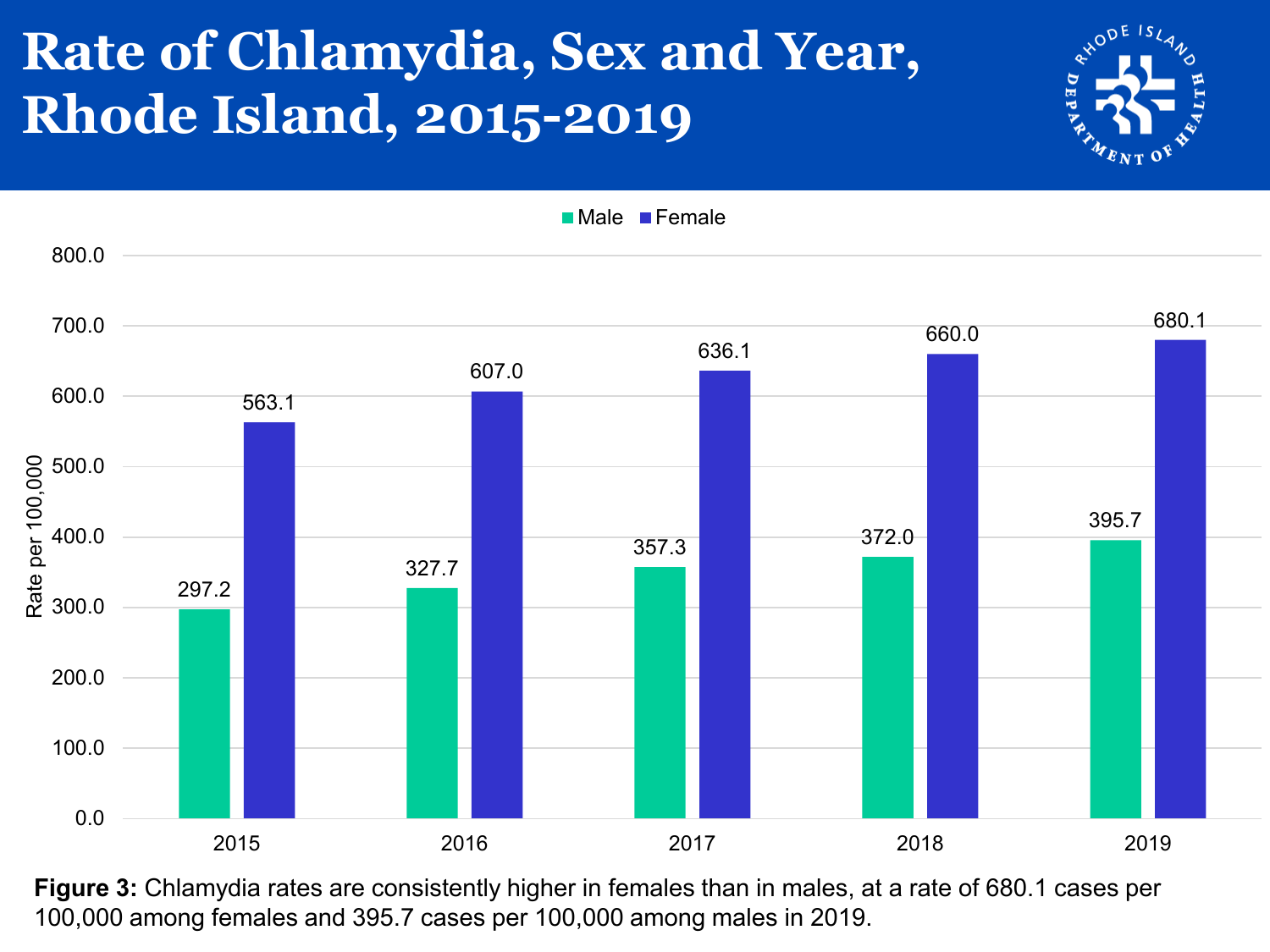## **Rate of Chlamydia, Sex and Year, Rhode Island, 2015-2019**





**Figure 3:** Chlamydia rates are consistently higher in females than in males, at a rate of 680.1 cases per 100,000 among females and 395.7 cases per 100,000 among males in 2019.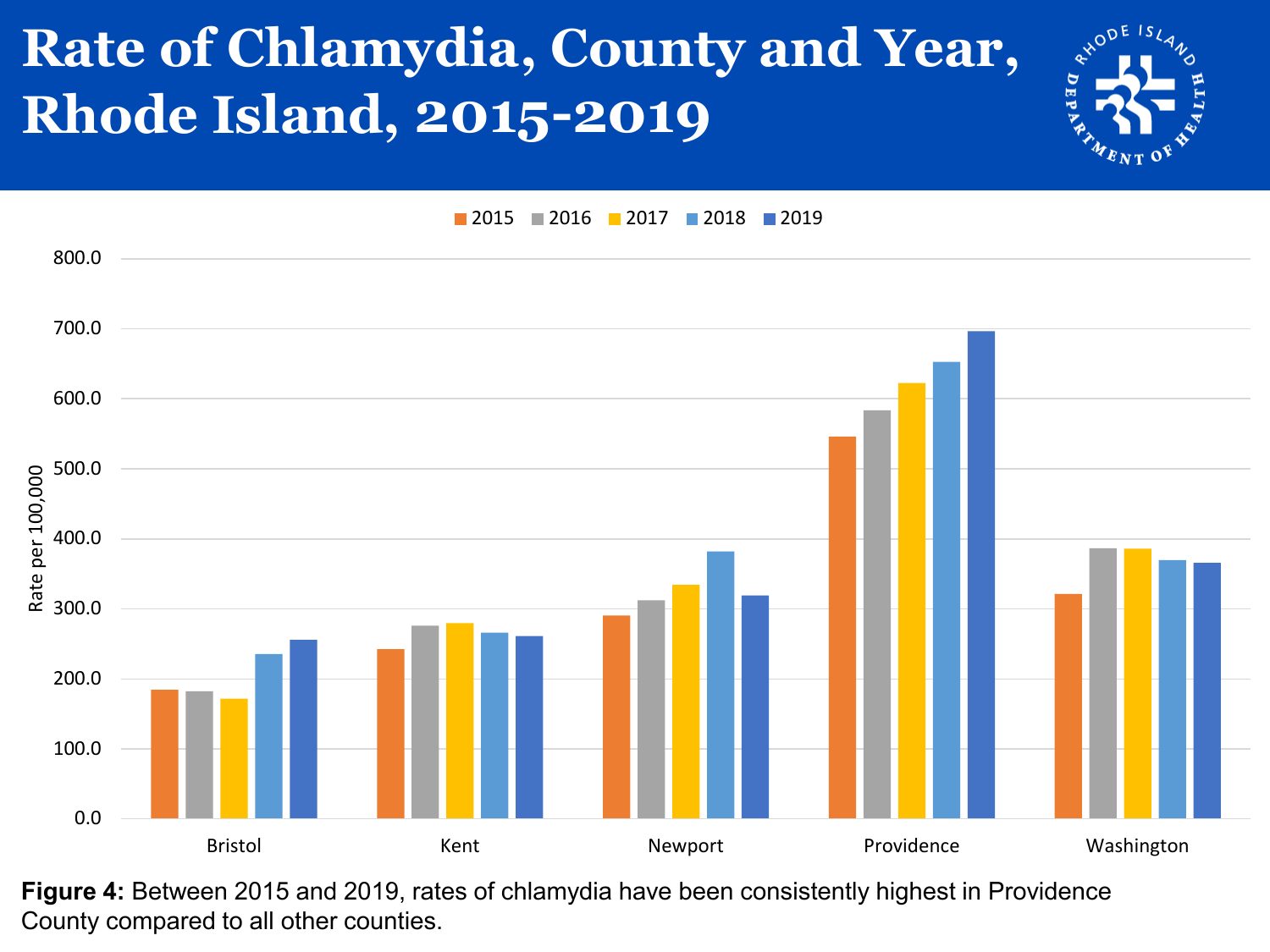## **Rate of Chlamydia, County and Year, Rhode Island, 2015-2019**



**2015 2016 2017 2018 2019** 



**Figure 4:** Between 2015 and 2019, rates of chlamydia have been consistently highest in Providence County compared to all other counties.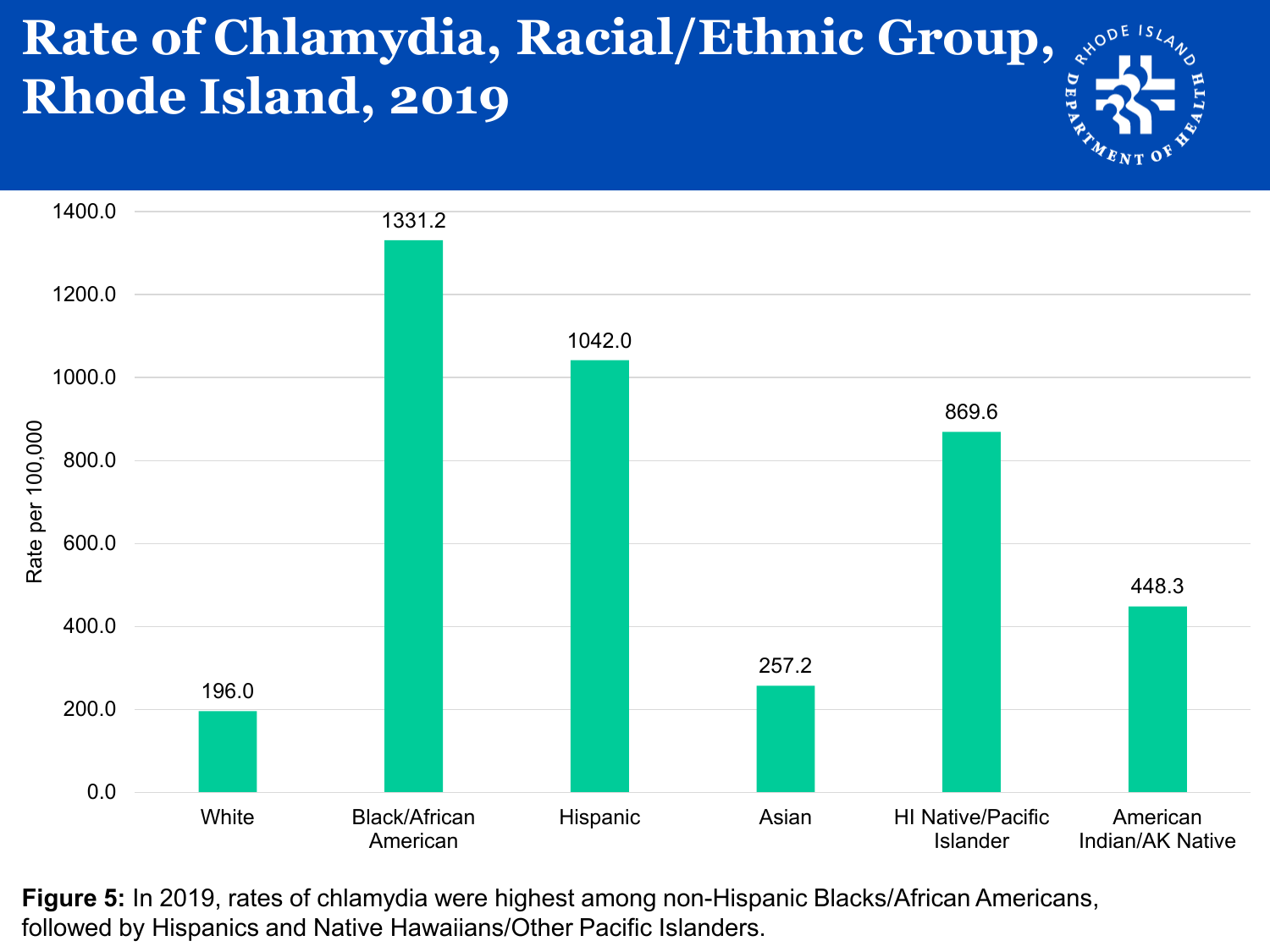#### **Rate of Chlamydia, Racial/Ethnic Group, Rhode Island, 2019**



**Figure 5:** In 2019, rates of chlamydia were highest among non-Hispanic Blacks/African Americans, followed by Hispanics and Native Hawaiians/Other Pacific Islanders.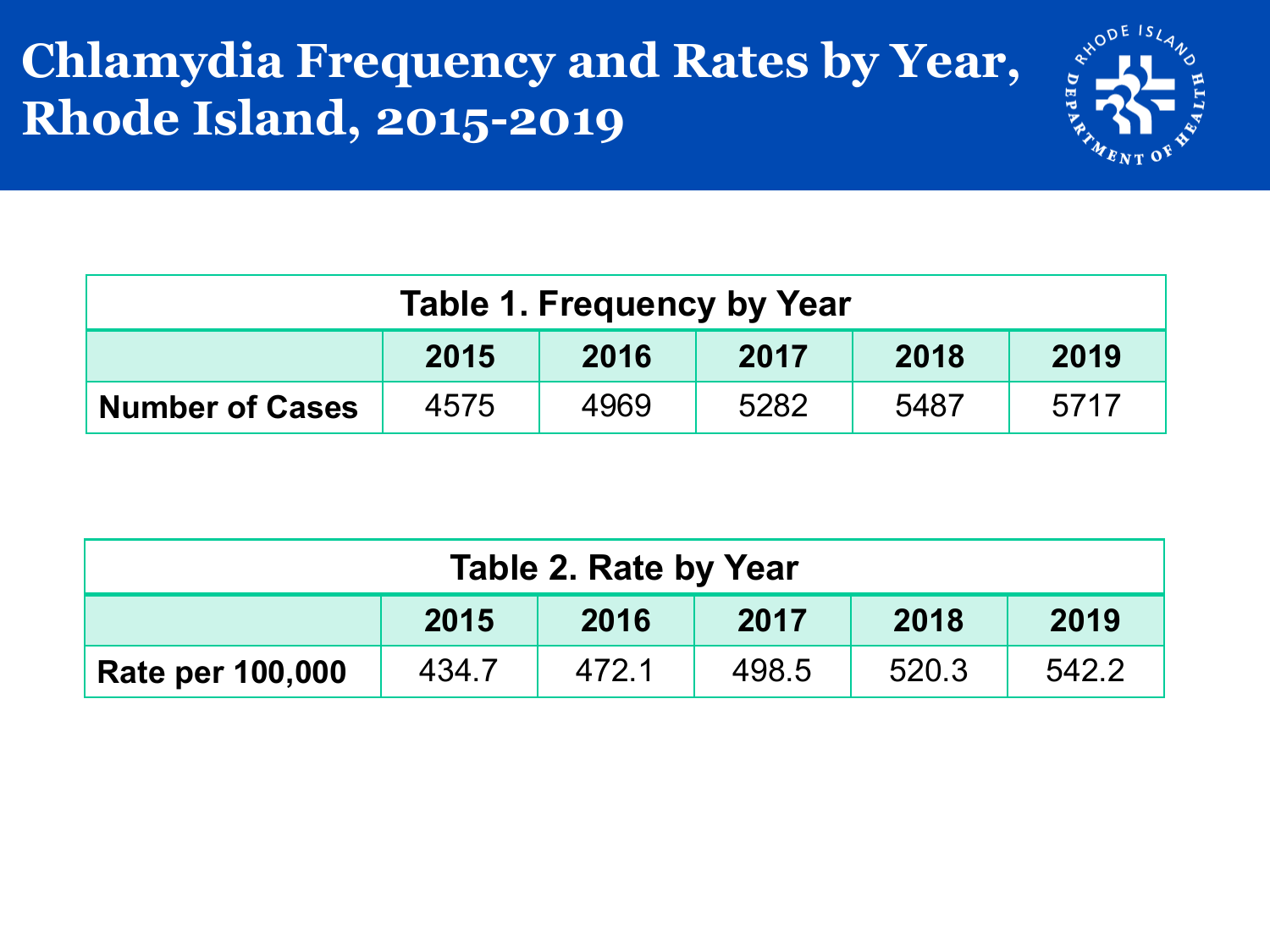#### **Chlamydia Frequency and Rates by Year, Rhode Island, 2015-2019**



| Table 1. Frequency by Year                                     |  |  |  |  |  |  |  |
|----------------------------------------------------------------|--|--|--|--|--|--|--|
| 2015<br>2019<br>2016<br>2018<br>2017                           |  |  |  |  |  |  |  |
| 5282<br>4969<br>4575<br>5717<br>5487<br><b>Number of Cases</b> |  |  |  |  |  |  |  |

| <b>Table 2. Rate by Year</b>         |       |       |       |       |       |  |  |
|--------------------------------------|-------|-------|-------|-------|-------|--|--|
| 2015<br>2016<br>2019<br>2018<br>2017 |       |       |       |       |       |  |  |
| <b>Rate per 100,000</b>              | 434.7 | 472.1 | 498.5 | 520.3 | 542.2 |  |  |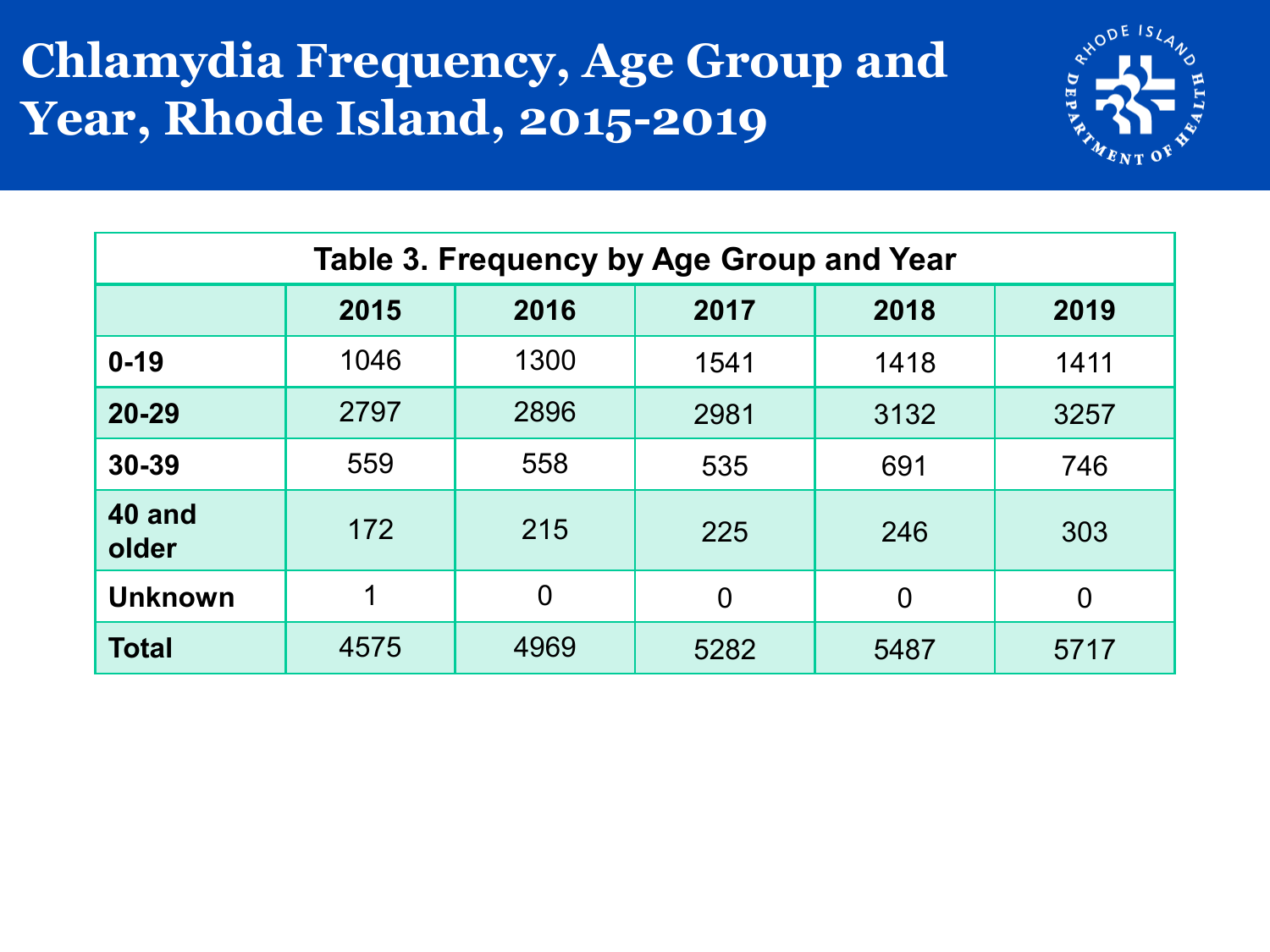#### **Chlamydia Frequency, Age Group and Year, Rhode Island, 2015-2019**



| Table 3. Frequency by Age Group and Year |      |                |                |                |                |  |  |  |
|------------------------------------------|------|----------------|----------------|----------------|----------------|--|--|--|
|                                          | 2015 | 2016           | 2017           | 2018           | 2019           |  |  |  |
| $0 - 19$                                 | 1046 | 1300           | 1541           | 1418           | 1411           |  |  |  |
| $20 - 29$                                | 2797 | 2896           | 2981           | 3132           | 3257           |  |  |  |
| 30-39                                    | 559  | 558            | 535            | 691            | 746            |  |  |  |
| 40 and<br>older                          | 172  | 215            | 225            | 246            | 303            |  |  |  |
| <b>Unknown</b>                           | 1    | $\overline{0}$ | $\overline{0}$ | $\overline{0}$ | $\overline{0}$ |  |  |  |
| <b>Total</b>                             | 4575 | 4969           | 5282           | 5487           | 5717           |  |  |  |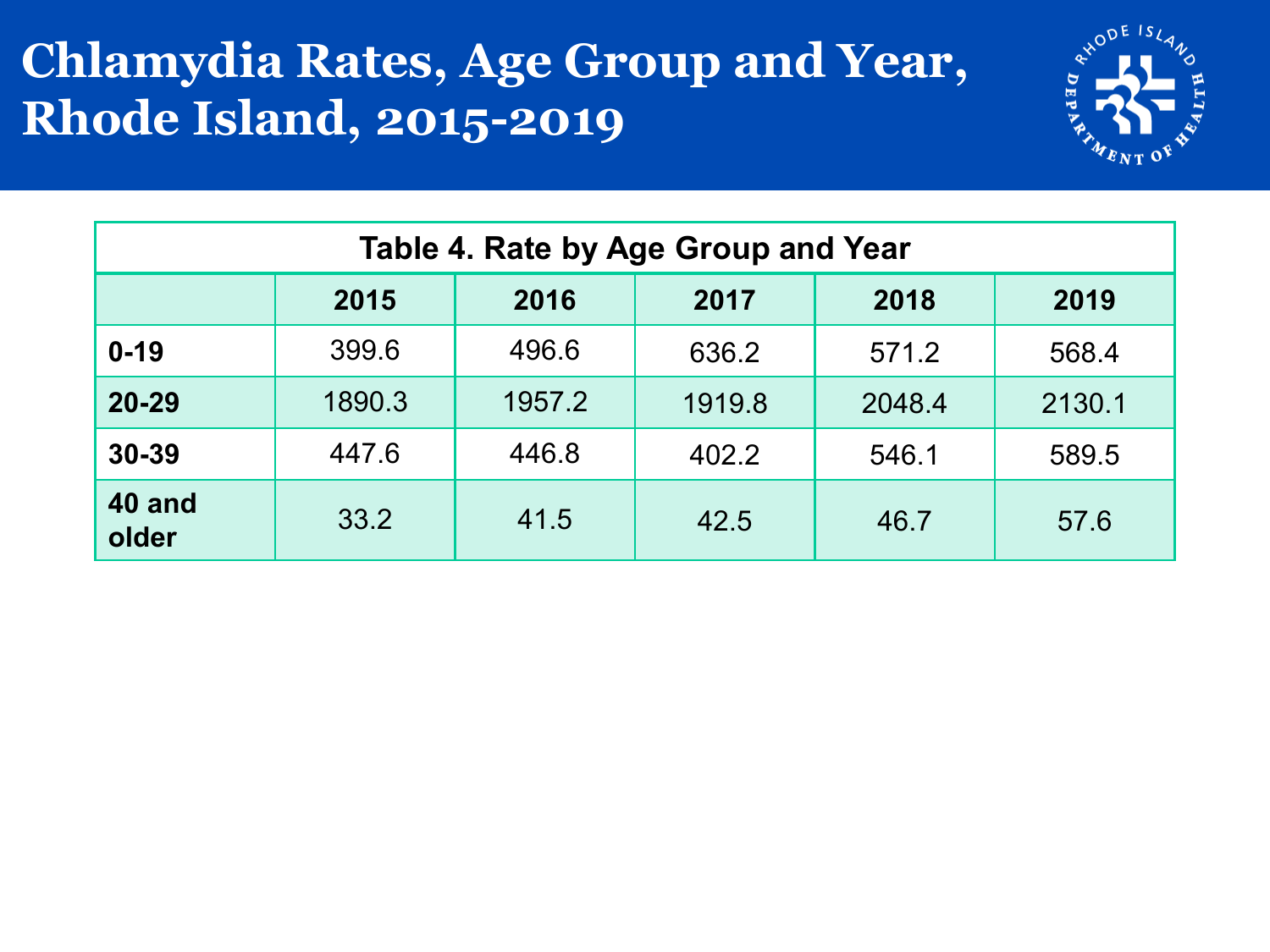#### **Chlamydia Rates, Age Group and Year, Rhode Island, 2015-2019**



| Table 4. Rate by Age Group and Year |                                      |        |        |        |        |  |  |  |
|-------------------------------------|--------------------------------------|--------|--------|--------|--------|--|--|--|
|                                     | 2015<br>2018<br>2019<br>2016<br>2017 |        |        |        |        |  |  |  |
| $0 - 19$                            | 399.6                                | 496.6  | 636.2  | 571.2  | 568.4  |  |  |  |
| $20 - 29$                           | 1890.3                               | 1957.2 | 1919.8 | 2048.4 | 2130.1 |  |  |  |
| 30-39                               | 447.6                                | 446.8  | 402.2  | 546.1  | 589.5  |  |  |  |
| 40 and<br>older                     | 33.2                                 | 41.5   | 42.5   | 46.7   | 57.6   |  |  |  |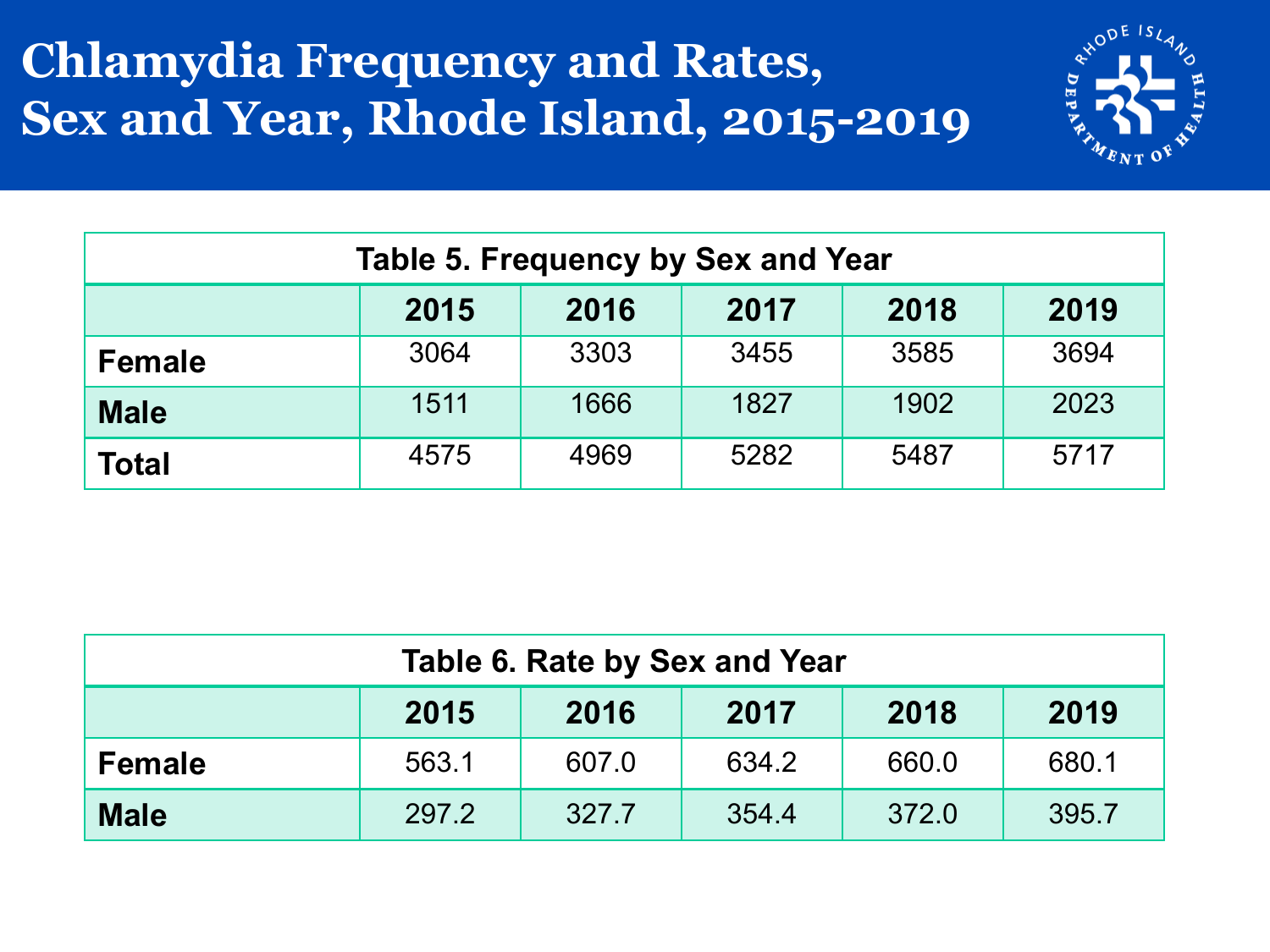#### **Chlamydia Frequency and Rates, Sex and Year, Rhode Island, 2015-2019**



| <b>Table 5. Frequency by Sex and Year</b> |      |      |      |      |      |  |  |
|-------------------------------------------|------|------|------|------|------|--|--|
| 2015<br>2018<br>2019<br>2017<br>2016      |      |      |      |      |      |  |  |
| <b>Female</b>                             | 3064 | 3303 | 3455 | 3585 | 3694 |  |  |
| <b>Male</b>                               | 1511 | 1666 | 1827 | 1902 | 2023 |  |  |
| <b>Total</b>                              | 4575 | 4969 | 5282 | 5487 | 5717 |  |  |

| Table 6. Rate by Sex and Year                            |       |       |       |       |       |  |  |
|----------------------------------------------------------|-------|-------|-------|-------|-------|--|--|
| 2018<br>2019<br>2017<br>2015<br>2016                     |       |       |       |       |       |  |  |
| <b>Female</b>                                            | 563.1 | 607.0 | 634.2 | 660.0 | 680.1 |  |  |
| 372.0<br>395.7<br>297.2<br>354.4<br><b>Male</b><br>327.7 |       |       |       |       |       |  |  |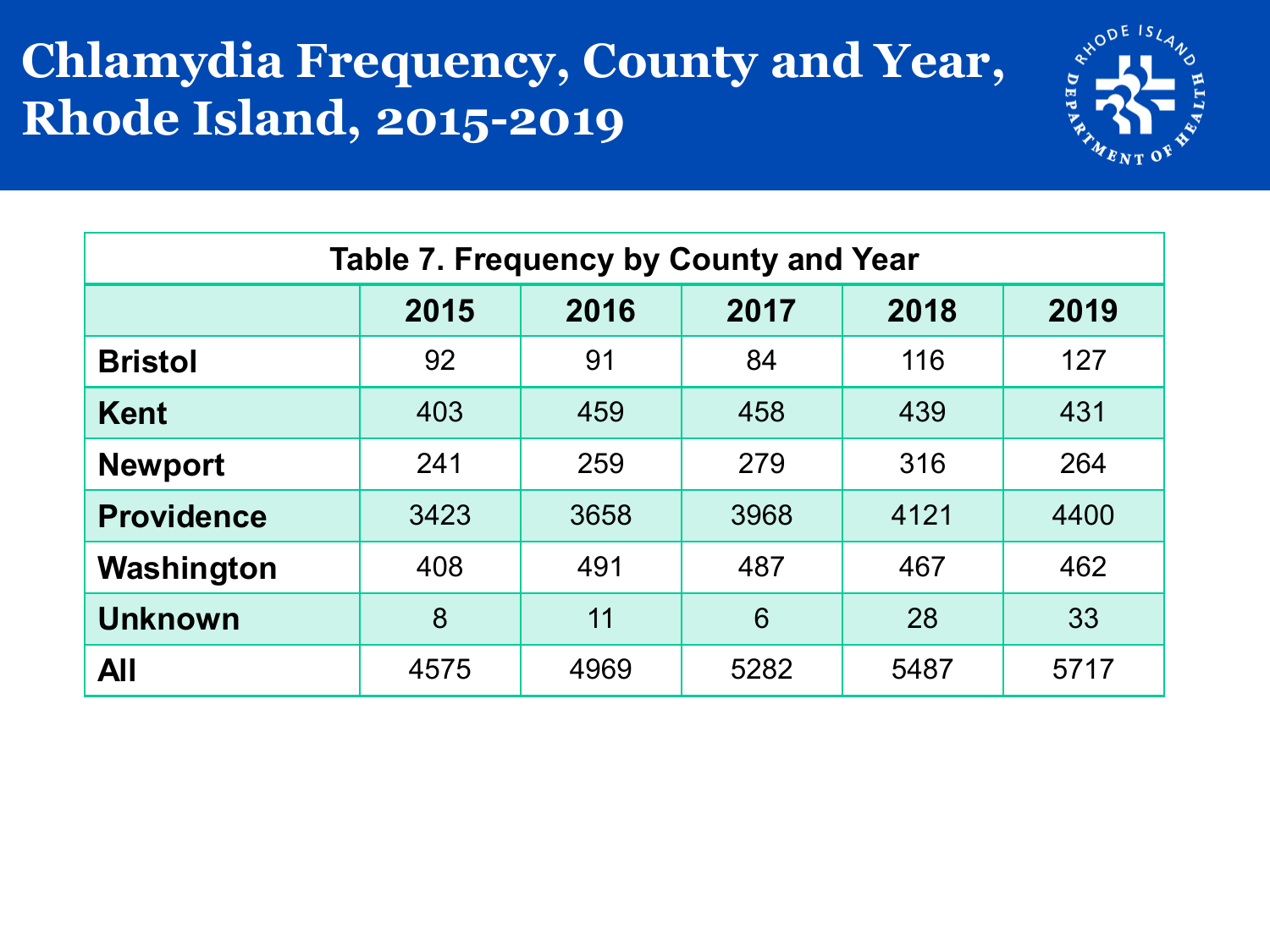#### **Chlamydia Frequency, County and Year, Rhode Island, 2015-2019**



| Table 7. Frequency by County and Year |      |      |      |      |      |  |  |
|---------------------------------------|------|------|------|------|------|--|--|
|                                       | 2015 | 2016 | 2017 | 2018 | 2019 |  |  |
| <b>Bristol</b>                        | 92   | 91   | 84   | 116  | 127  |  |  |
| <b>Kent</b>                           | 403  | 459  | 458  | 439  | 431  |  |  |
| <b>Newport</b>                        | 241  | 259  | 279  | 316  | 264  |  |  |
| <b>Providence</b>                     | 3423 | 3658 | 3968 | 4121 | 4400 |  |  |
| Washington                            | 408  | 491  | 487  | 467  | 462  |  |  |
| <b>Unknown</b>                        | 8    | 11   | 6    | 28   | 33   |  |  |
| All                                   | 4575 | 4969 | 5282 | 5487 | 5717 |  |  |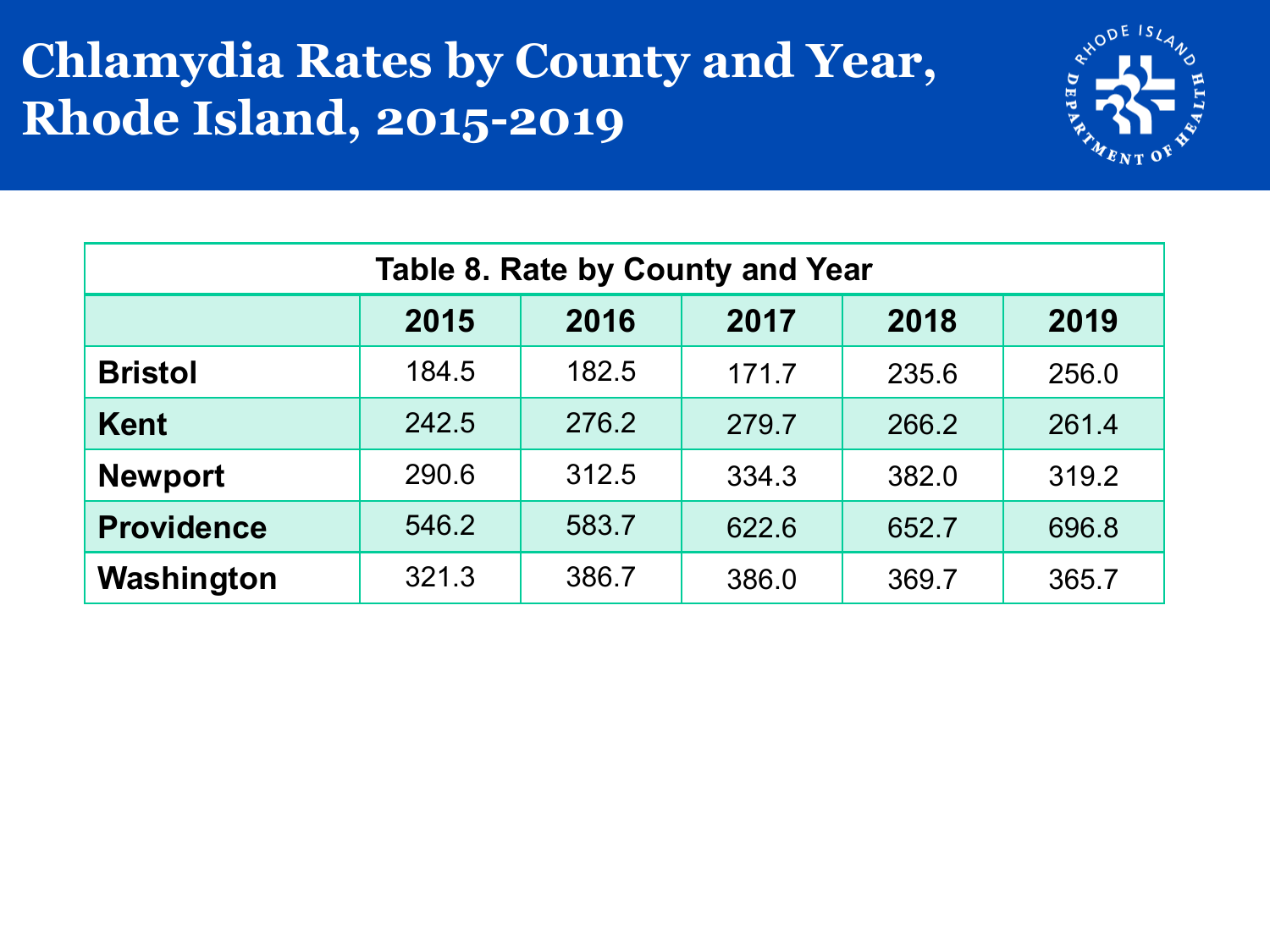#### **Chlamydia Rates by County and Year, Rhode Island, 2015-2019**



| <b>Table 8. Rate by County and Year</b> |                                      |       |       |       |       |  |  |  |
|-----------------------------------------|--------------------------------------|-------|-------|-------|-------|--|--|--|
|                                         | 2015<br>2018<br>2017<br>2016<br>2019 |       |       |       |       |  |  |  |
| <b>Bristol</b>                          | 184.5                                | 182.5 | 171.7 | 235.6 | 256.0 |  |  |  |
| <b>Kent</b>                             | 242.5                                | 276.2 | 279.7 | 266.2 | 261.4 |  |  |  |
| <b>Newport</b>                          | 290.6                                | 312.5 | 334.3 | 382.0 | 319.2 |  |  |  |
| <b>Providence</b>                       | 546.2                                | 583.7 | 622.6 | 652.7 | 696.8 |  |  |  |
| Washington                              | 321.3                                | 386.7 | 386.0 | 369.7 | 365.7 |  |  |  |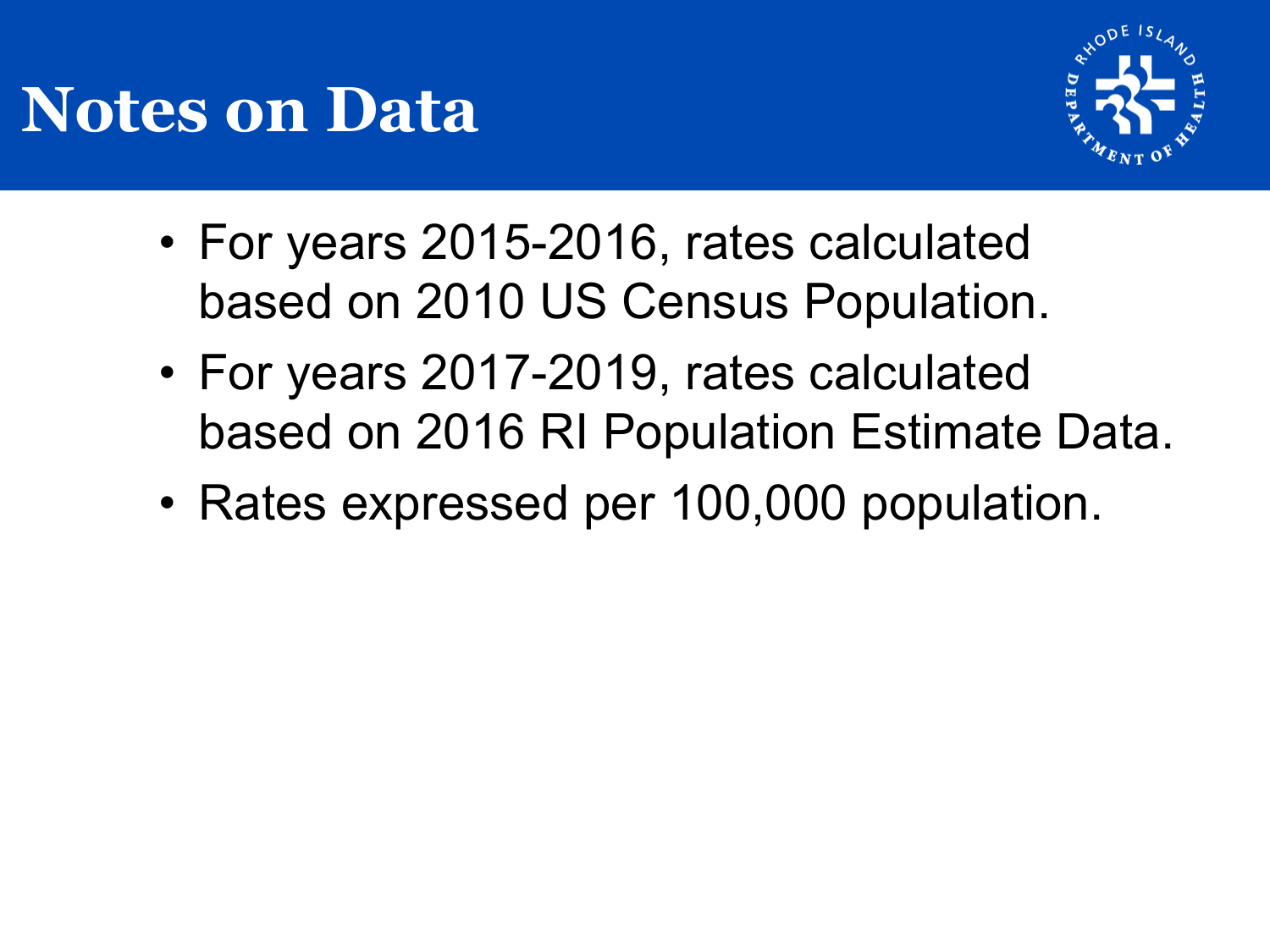## **Notes on Data**



- For years 2015-2016, rates calculated based on 2010 US Census Population.
- For years 2017-2019, rates calculated based on 2016 RI Population Estimate Data.
- Rates expressed per 100,000 population.